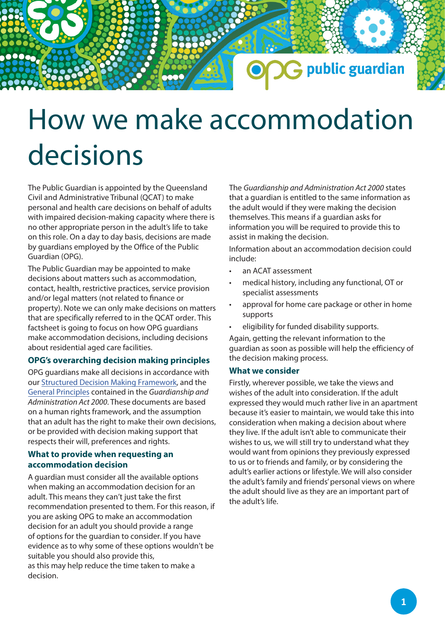# How we make accommodation decisions

The Public Guardian is appointed by the Queensland Civil and Administrative Tribunal (QCAT) to make personal and health care decisions on behalf of adults with impaired decision-making capacity where there is no other appropriate person in the adult's life to take on this role. On a day to day basis, decisions are made by guardians employed by the Office of the Public Guardian (OPG).

The Public Guardian may be appointed to make decisions about matters such as accommodation, contact, health, restrictive practices, service provision and/or legal matters (not related to finance or property). Note we can only make decisions on matters that are specifically referred to in the QCAT order. This factsheet is going to focus on how OPG guardians make accommodation decisions, including decisions about residential aged care facilities.

# **OPG's overarching decision making principles**

OPG guardians make all decisions in accordance with our Structured Decis[ion Making Framework, and t](https://www.publicguardian.qld.gov.au/__data/assets/pdf_file/0008/574721/Policy-Structured-Decision-Making-Framework.pdf)he [General Principles](https://www.publicguardian.qld.gov.au/__data/assets/pdf_file/0006/572352/OPG-Factsheet_General-Principles.pdf) contained in the *Guardianship and Administration Act 2000*. These documents are based on a human rights framework, and the assumption that an adult has the right to make their own decisions, or be provided with decision making support that respects their will, preferences and rights.

# **What to provide when requesting an accommodation decision**

A guardian must consider all the available options when making an accommodation decision for an adult. This means they can't just take the first recommendation presented to them. For this reason, if you are asking OPG to make an accommodation decision for an adult you should provide a range of options for the guardian to consider. If you have evidence as to why some of these options wouldn't be suitable you should also provide this, as this may help reduce the time taken to make a decision.

The *Guardianship and Administration Act 2000* states that a guardian is entitled to the same information as the adult would if they were making the decision themselves. This means if a guardian asks for information you will be required to provide this to assist in making the decision.

G public guardian

Information about an accommodation decision could include:

- an ACAT assessment
- medical history, including any functional, OT or specialist assessments
- approval for home care package or other in home supports
- eligibility for funded disability supports.

Again, getting the relevant information to the guardian as soon as possible will help the efficiency of the decision making process.

## **What we consider**

Firstly, wherever possible, we take the views and wishes of the adult into consideration. If the adult expressed they would much rather live in an apartment because it's easier to maintain, we would take this into consideration when making a decision about where they live. If the adult isn't able to communicate their wishes to us, we will still try to understand what they would want from opinions they previously expressed to us or to friends and family, or by considering the adult's earlier actions or lifestyle. We will also consider the adult's family and friends' personal views on where the adult should live as they are an important part of the adult's life.